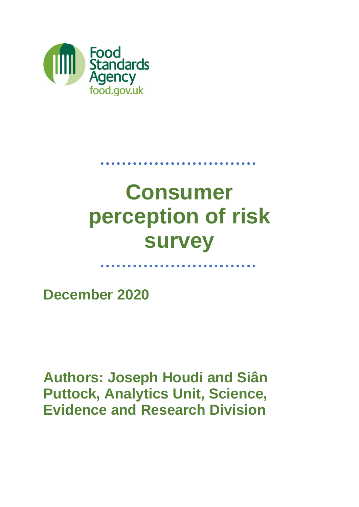

# **Consumer perception of risk survey**

. . . . . . . . . . . . . . . . .

**December 2020**

**Authors: Joseph Houdi and Siân Puttock, Analytics Unit, Science, Evidence and Research Division**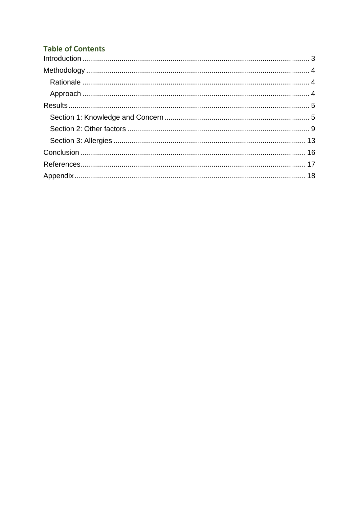### **Table of Contents**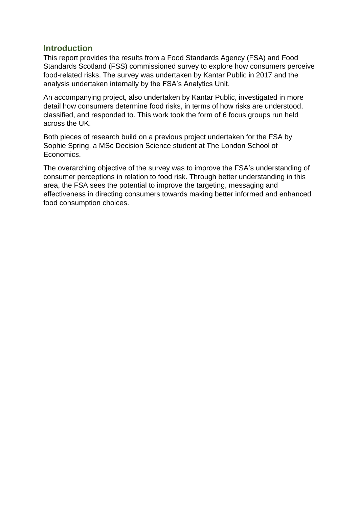### <span id="page-2-0"></span>**Introduction**

This report provides the results from a Food Standards Agency (FSA) and Food Standards Scotland (FSS) commissioned survey to explore how consumers perceive food-related risks. The survey was undertaken by Kantar Public in 2017 and the analysis undertaken internally by the FSA's Analytics Unit.

An accompanying project, also undertaken by Kantar Public, investigated in more detail how consumers determine food risks, in terms of how risks are understood, classified, and responded to. This work took the form of 6 focus groups run held across the UK.

Both pieces of research build on a previous project undertaken for the FSA by Sophie Spring, a MSc Decision Science student at The London School of Economics.

The overarching objective of the survey was to improve the FSA's understanding of consumer perceptions in relation to food risk. Through better understanding in this area, the FSA sees the potential to improve the targeting, messaging and effectiveness in directing consumers towards making better informed and enhanced food consumption choices.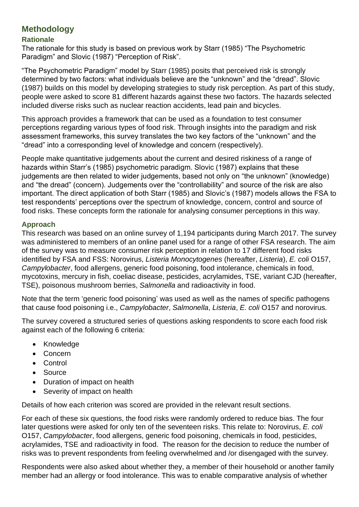### <span id="page-3-0"></span>**Methodology**

### <span id="page-3-1"></span>**Rationale**

The rationale for this study is based on previous work by Starr (1985) "The Psychometric Paradigm" and Slovic (1987) "Perception of Risk".

"The Psychometric Paradigm" model by Starr (1985) posits that perceived risk is strongly determined by two factors: what individuals believe are the "unknown" and the "dread". Slovic (1987) builds on this model by developing strategies to study risk perception. As part of this study, people were asked to score 81 different hazards against these two factors. The hazards selected included diverse risks such as nuclear reaction accidents, lead pain and bicycles.

This approach provides a framework that can be used as a foundation to test consumer perceptions regarding various types of food risk. Through insights into the paradigm and risk assessment frameworks, this survey translates the two key factors of the "unknown" and the "dread" into a corresponding level of knowledge and concern (respectively).

People make quantitative judgements about the current and desired riskiness of a range of hazards within Starr's (1985) psychometric paradigm. Slovic (1987) explains that these judgements are then related to wider judgements, based not only on "the unknown" (knowledge) and "the dread" (concern). Judgements over the "controllability" and source of the risk are also important. The direct application of both Starr (1985) and Slovic's (1987) models allows the FSA to test respondents' perceptions over the spectrum of knowledge, concern, control and source of food risks. These concepts form the rationale for analysing consumer perceptions in this way.

#### <span id="page-3-2"></span>**Approach**

This research was based on an online survey of 1,194 participants during March 2017. The survey was administered to members of an online panel used for a range of other FSA research. The aim of the survey was to measure consumer risk perception in relation to 17 different food risks identified by FSA and FSS: Norovirus, *Listeria Monocytogenes* (hereafter, *Listeria*), *E. coli* O157, *Campylobacter*, food allergens, generic food poisoning, food intolerance, chemicals in food, mycotoxins, mercury in fish, coeliac disease, pesticides, acrylamides, TSE, variant CJD (hereafter, TSE), poisonous mushroom berries, *Salmonella* and radioactivity in food.

Note that the term 'generic food poisoning' was used as well as the names of specific pathogens that cause food poisoning i.e., *Campylobacter*, *Salmonella*, *Listeria*, *E. coli* O157 and norovirus.

The survey covered a structured series of questions asking respondents to score each food risk against each of the following 6 criteria:

- Knowledge
- Concern
- Control
- Source
- Duration of impact on health
- Severity of impact on health

Details of how each criterion was scored are provided in the relevant result sections.

For each of these six questions, the food risks were randomly ordered to reduce bias. The four later questions were asked for only ten of the seventeen risks. This relate to: Norovirus, *E. coli* O157, *Campylobacter*, food allergens, generic food poisoning, chemicals in food, pesticides, acrylamides, TSE and radioactivity in food. The reason for the decision to reduce the number of risks was to prevent respondents from feeling overwhelmed and /or disengaged with the survey.

Respondents were also asked about whether they, a member of their household or another family member had an allergy or food intolerance. This was to enable comparative analysis of whether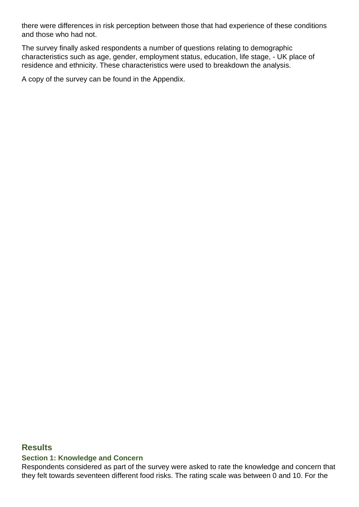there were differences in risk perception between those that had experience of these conditions and those who had not.

The survey finally asked respondents a number of questions relating to demographic characteristics such as age, gender, employment status, education, life stage, - UK place of residence and ethnicity. These characteristics were used to breakdown the analysis.

A copy of the survey can be found in the Appendix.

#### <span id="page-4-0"></span>**Results**

#### <span id="page-4-1"></span>**Section 1: Knowledge and Concern**

Respondents considered as part of the survey were asked to rate the knowledge and concern that they felt towards seventeen different food risks. The rating scale was between 0 and 10. For the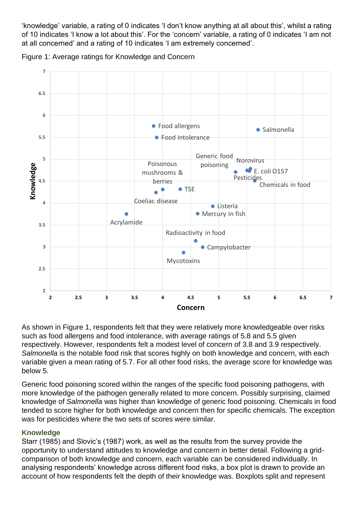'knowledge' variable, a rating of 0 indicates 'I don't know anything at all about this', whilst a rating of 10 indicates 'I know a lot about this'. For the 'concern' variable, a rating of 0 indicates 'I am not at all concerned' and a rating of 10 indicates 'I am extremely concerned'.





As shown in Figure 1, respondents felt that they were relatively more knowledgeable over risks such as food allergens and food intolerance, with average ratings of 5.8 and 5.5 given respectively. However, respondents felt a modest level of concern of 3.8 and 3.9 respectively. *Salmonella* is the notable food risk that scores highly on both knowledge and concern, with each variable given a mean rating of 5.7. For all other food risks, the average score for knowledge was below 5.

Generic food poisoning scored within the ranges of the specific food poisoning pathogens, with more knowledge of the pathogen generally related to more concern. Possibly surprising, claimed knowledge of *Salmonella* was higher than knowledge of generic food poisoning. Chemicals in food tended to score higher for both knowledge and concern then for specific chemicals. The exception was for pesticides where the two sets of scores were similar.

### **Knowledge**

Starr (1985) and Slovic's (1987) work, as well as the results from the survey provide the opportunity to understand attitudes to knowledge and concern in better detail. Following a gridcomparison of both knowledge and concern, each variable can be considered individually. In analysing respondents' knowledge across different food risks, a box plot is drawn to provide an account of how respondents felt the depth of their knowledge was. Boxplots split and represent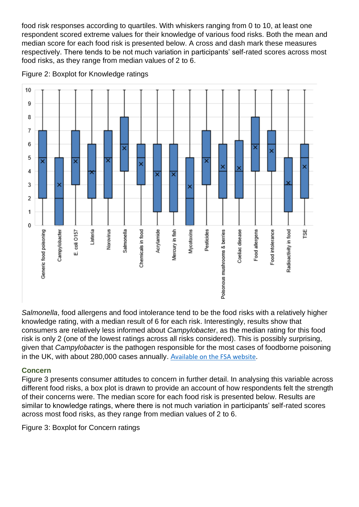food risk responses according to quartiles. With whiskers ranging from 0 to 10, at least one respondent scored extreme values for their knowledge of various food risks. Both the mean and median score for each food risk is presented below. A cross and dash mark these measures respectively. There tends to be not much variation in participants' self-rated scores across most food risks, as they range from median values of 2 to 6.



Figure 2: Boxplot for Knowledge ratings

*Salmonella*, food allergens and food intolerance tend to be the food risks with a relatively higher knowledge rating, with a median result of 6 for each risk. Interestingly, results show that consumers are relatively less informed about *Campylobacter*, as the median rating for this food risk is only 2 (one of the lowest ratings across all risks considered). This is possibly surprising, given that *Campylobacter* is the pathogen responsible for the most cases of foodborne poisoning in the UK, with about 280,000 cases annually. A[vailable on the FSA website.](https://www.food.gov.uk/research/foodborne-diseases/extension-to-the-iid2-study-identifying-the-proportion-of-foodborne-disease-in-the-uk)

### **Concern**

Figure 3 presents consumer attitudes to concern in further detail. In analysing this variable across different food risks, a box plot is drawn to provide an account of how respondents felt the strength of their concerns were. The median score for each food risk is presented below. Results are similar to knowledge ratings, where there is not much variation in participants' self-rated scores across most food risks, as they range from median values of 2 to 6.

Figure 3: Boxplot for Concern ratings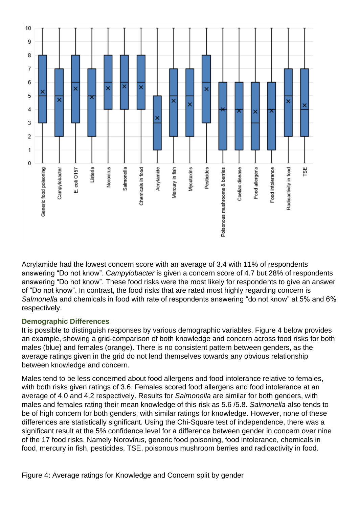

Acrylamide had the lowest concern score with an average of 3.4 with 11% of respondents answering "Do not know". C*ampylobacter* is given a concern score of 4.7 but 28% of respondents answering "Do not know". These food risks were the most likely for respondents to give an answer of "Do not know". In contrast, the food risks that are rated most highly regarding concern is *Salmonella* and chemicals in food with rate of respondents answering "do not know" at 5% and 6% respectively.

#### **Demographic Differences**

It is possible to distinguish responses by various demographic variables. Figure 4 below provides an example, showing a grid-comparison of both knowledge and concern across food risks for both males (blue) and females (orange). There is no consistent pattern between genders, as the average ratings given in the grid do not lend themselves towards any obvious relationship between knowledge and concern.

Males tend to be less concerned about food allergens and food intolerance relative to females, with both risks given ratings of 3.6. Females scored food allergens and food intolerance at an average of 4.0 and 4.2 respectively. Results for *Salmonella* are similar for both genders, with males and females rating their mean knowledge of this risk as 5.6 /5.8. *Salmonella* also tends to be of high concern for both genders, with similar ratings for knowledge. However, none of these differences are statistically significant. Using the Chi-Square test of independence, there was a significant result at the 5% confidence level for a difference between gender in concern over nine of the 17 food risks. Namely Norovirus, generic food poisoning, food intolerance, chemicals in food, mercury in fish, pesticides, TSE, poisonous mushroom berries and radioactivity in food.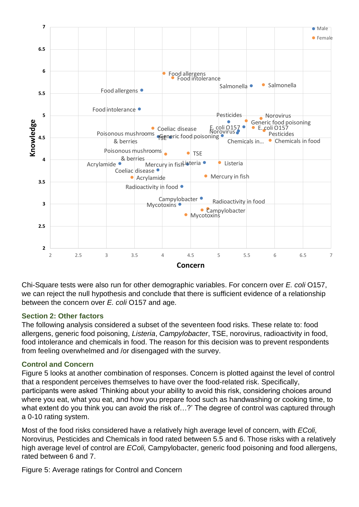

Chi-Square tests were also run for other demographic variables. For concern over *E. coli* O157, we can reject the null hypothesis and conclude that there is sufficient evidence of a relationship between the concern over *E. coli* O157 and age.

#### <span id="page-8-0"></span>**Section 2: Other factors**

The following analysis considered a subset of the seventeen food risks. These relate to: food allergens, generic food poisoning, *Listeria*, *Campylobacter*, TSE, norovirus, radioactivity in food, food intolerance and chemicals in food. The reason for this decision was to prevent respondents from feeling overwhelmed and /or disengaged with the survey.

#### **Control and Concern**

Figure 5 looks at another combination of responses. Concern is plotted against the level of control that a respondent perceives themselves to have over the food-related risk. Specifically, participants were asked 'Thinking about your ability to avoid this risk, considering choices around where you eat, what you eat, and how you prepare food such as handwashing or cooking time, to what extent do you think you can avoid the risk of...?' The degree of control was captured through a 0-10 rating system.

Most of the food risks considered have a relatively high average level of concern, with *EColi,*  Norovirus*,* Pesticides and Chemicals in food rated between 5.5 and 6. Those risks with a relatively high average level of control are *EColi,* Campylobacter, generic food poisoning and food allergens, rated between 6 and 7.

Figure 5: Average ratings for Control and Concern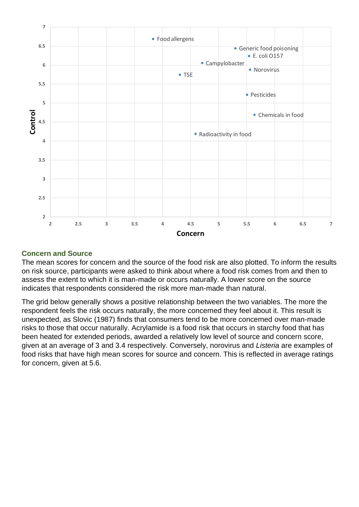

#### **Concern and Source**

The mean scores for concern and the source of the food risk are also plotted. To inform the results on risk source, participants were asked to think about where a food risk comes from and then to assess the extent to which it is man-made or occurs naturally. A lower score on the source indicates that respondents considered the risk more man-made than natural.

The grid below generally shows a positive relationship between the two variables. The more the respondent feels the risk occurs naturally, the more concerned they feel about it. This result is unexpected, as Slovic (1987) finds that consumers tend to be more concerned over man-made risks to those that occur naturally. Acrylamide is a food risk that occurs in starchy food that has been heated for extended periods, awarded a relatively low level of source and concern score, given at an average of 3 and 3.4 respectively. Conversely, norovirus and *Listeria* are examples of food risks that have high mean scores for source and concern. This is reflected in average ratings for concern, given at 5.6.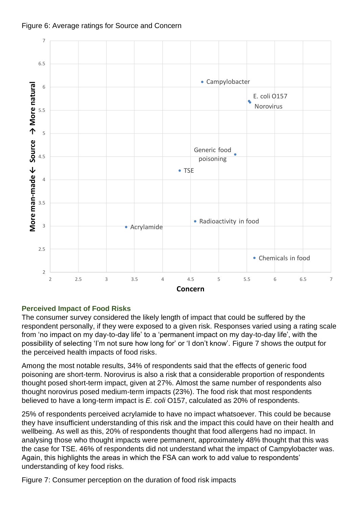



#### **Perceived Impact of Food Risks**

The consumer survey considered the likely length of impact that could be suffered by the respondent personally, if they were exposed to a given risk. Responses varied using a rating scale from 'no impact on my day-to-day life' to a 'permanent impact on my day-to-day life', with the possibility of selecting 'I'm not sure how long for' or 'I don't know'. Figure 7 shows the output for the perceived health impacts of food risks.

Among the most notable results, 34% of respondents said that the effects of generic food poisoning are short-term. Norovirus is also a risk that a considerable proportion of respondents thought posed short-term impact, given at 27%. Almost the same number of respondents also thought norovirus posed medium-term impacts (23%). The food risk that most respondents believed to have a long-term impact is *E. coli* O157, calculated as 20% of respondents.

25% of respondents perceived acrylamide to have no impact whatsoever. This could be because they have insufficient understanding of this risk and the impact this could have on their health and wellbeing. As well as this, 20% of respondents thought that food allergens had no impact. In analysing those who thought impacts were permanent, approximately 48% thought that this was the case for TSE. 46% of respondents did not understand what the impact of Campylobacter was. Again, this highlights the areas in which the FSA can work to add value to respondents' understanding of key food risks.

Figure 7: Consumer perception on the duration of food risk impacts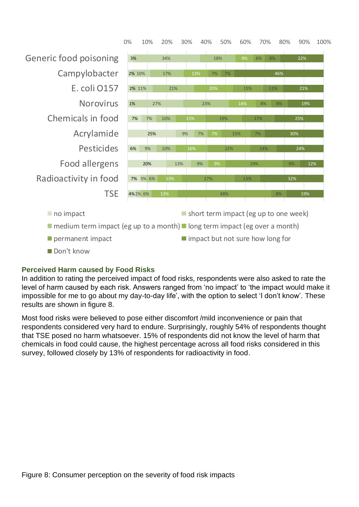

#### **Perceived Harm caused by Food Risks**

In addition to rating the perceived impact of food risks, respondents were also asked to rate the level of harm caused by each risk. Answers ranged from 'no impact' to 'the impact would make it impossible for me to go about my day-to-day life', with the option to select 'I don't know'. These results are shown in figure 8.

Most food risks were believed to pose either discomfort /mild inconvenience or pain that respondents considered very hard to endure. Surprisingly, roughly 54% of respondents thought that TSE posed no harm whatsoever. 15% of respondents did not know the level of harm that chemicals in food could cause, the highest percentage across all food risks considered in this survey, followed closely by 13% of respondents for radioactivity in food.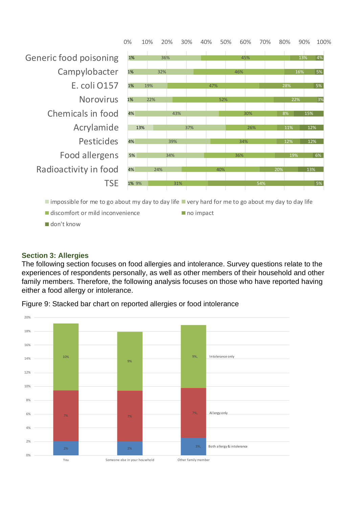

- $\blacksquare$  discomfort or mild inconvenience  $\blacksquare$  no impact
	-

don't know

#### <span id="page-12-0"></span>**Section 3: Allergies**

The following section focuses on food allergies and intolerance. Survey questions relate to the experiences of respondents personally, as well as other members of their household and other family members. Therefore, the following analysis focuses on those who have reported having either a food allergy or intolerance.



Figure 9: Stacked bar chart on reported allergies or food intolerance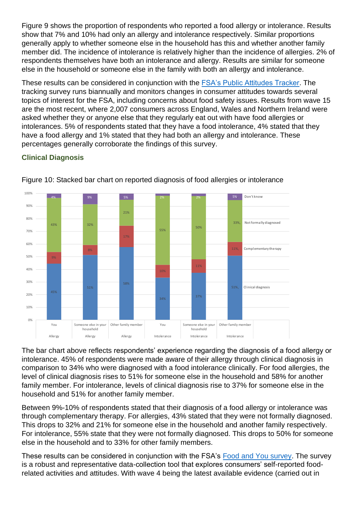Figure 9 shows the proportion of respondents who reported a food allergy or intolerance. Results show that 7% and 10% had only an allergy and intolerance respectively. Similar proportions generally apply to whether someone else in the household has this and whether another family member did. The incidence of intolerance is relatively higher than the incidence of allergies. 2% of respondents themselves have both an intolerance and allergy. Results are similar for someone else in the household or someone else in the family with both an allergy and intolerance.

These results can be considered in conjunction with the [FSA's Public Attitudes Tracker.](https://www.food.gov.uk/sites/default/files/media/document/attitudes-tracker-wave-17-november-2018-report_5.pdf) The tracking survey runs biannually and monitors changes in consumer attitudes towards several topics of interest for the FSA, including concerns about food safety issues. Results from wave 15 are the most recent, where 2,007 consumers across England, Wales and Northern Ireland were asked whether they or anyone else that they regularly eat out with have food allergies or intolerances. 5% of respondents stated that they have a food intolerance, 4% stated that they have a food allergy and 1% stated that they had both an allergy and intolerance. These percentages generally corroborate the findings of this survey.

### **Clinical Diagnosis**



Figure 10: Stacked bar chart on reported diagnosis of food allergies or intolerance

The bar chart above reflects respondents' experience regarding the diagnosis of a food allergy or intolerance. 45% of respondents were made aware of their allergy through clinical diagnosis in comparison to 34% who were diagnosed with a food intolerance clinically. For food allergies, the level of clinical diagnosis rises to 51% for someone else in the household and 58% for another family member. For intolerance, levels of clinical diagnosis rise to 37% for someone else in the household and 51% for another family member.

Between 9%-10% of respondents stated that their diagnosis of a food allergy or intolerance was through complementary therapy. For allergies, 43% stated that they were not formally diagnosed. This drops to 32% and 21% for someone else in the household and another family respectively. For intolerance, 55% state that they were not formally diagnosed. This drops to 50% for someone else in the household and to 33% for other family members.

These results can be considered in conjunction with the FSA's [Food and You survey.](https://www.food.gov.uk/sites/default/files/media/document/food-and-you-w4-exec-summary.pdf) The survey is a robust and representative data-collection tool that explores consumers' self-reported foodrelated activities and attitudes. With wave 4 being the latest available evidence (carried out in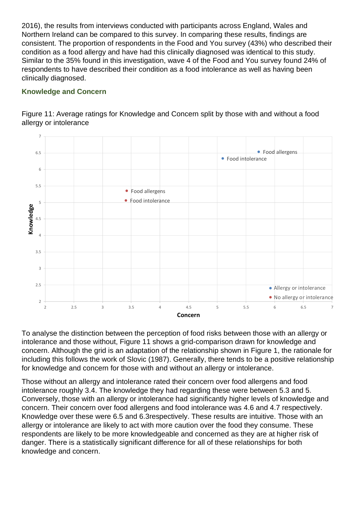2016), the results from interviews conducted with participants across England, Wales and Northern Ireland can be compared to this survey. In comparing these results, findings are consistent. The proportion of respondents in the Food and You survey (43%) who described their condition as a food allergy and have had this clinically diagnosed was identical to this study. Similar to the 35% found in this investigation, wave 4 of the Food and You survey found 24% of respondents to have described their condition as a food intolerance as well as having been clinically diagnosed.

### **Knowledge and Concern**



Figure 11: Average ratings for Knowledge and Concern split by those with and without a food allergy or intolerance

To analyse the distinction between the perception of food risks between those with an allergy or intolerance and those without, Figure 11 shows a grid-comparison drawn for knowledge and concern. Although the grid is an adaptation of the relationship shown in Figure 1, the rationale for including this follows the work of Slovic (1987). Generally, there tends to be a positive relationship for knowledge and concern for those with and without an allergy or intolerance.

Those without an allergy and intolerance rated their concern over food allergens and food intolerance roughly 3.4. The knowledge they had regarding these were between 5.3 and 5. Conversely, those with an allergy or intolerance had significantly higher levels of knowledge and concern. Their concern over food allergens and food intolerance was 4.6 and 4.7 respectively. Knowledge over these were 6.5 and 6.3respectively. These results are intuitive. Those with an allergy or intolerance are likely to act with more caution over the food they consume. These respondents are likely to be more knowledgeable and concerned as they are at higher risk of danger. There is a statistically significant difference for all of these relationships for both knowledge and concern.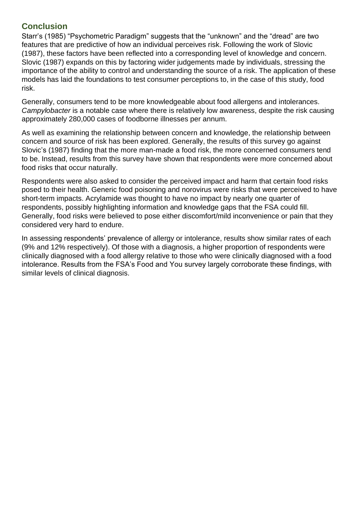### <span id="page-15-0"></span>**Conclusion**

Starr's (1985) "Psychometric Paradigm" suggests that the "unknown" and the "dread" are two features that are predictive of how an individual perceives risk. Following the work of Slovic (1987), these factors have been reflected into a corresponding level of knowledge and concern. Slovic (1987) expands on this by factoring wider judgements made by individuals, stressing the importance of the ability to control and understanding the source of a risk. The application of these models has laid the foundations to test consumer perceptions to, in the case of this study, food risk.

Generally, consumers tend to be more knowledgeable about food allergens and intolerances. *Campylobacter* is a notable case where there is relatively low awareness, despite the risk causing approximately 280,000 cases of foodborne illnesses per annum.

As well as examining the relationship between concern and knowledge, the relationship between concern and source of risk has been explored. Generally, the results of this survey go against Slovic's (1987) finding that the more man-made a food risk, the more concerned consumers tend to be. Instead, results from this survey have shown that respondents were more concerned about food risks that occur naturally.

Respondents were also asked to consider the perceived impact and harm that certain food risks posed to their health. Generic food poisoning and norovirus were risks that were perceived to have short-term impacts. Acrylamide was thought to have no impact by nearly one quarter of respondents, possibly highlighting information and knowledge gaps that the FSA could fill. Generally, food risks were believed to pose either discomfort/mild inconvenience or pain that they considered very hard to endure.

<span id="page-15-1"></span>In assessing respondents' prevalence of allergy or intolerance, results show similar rates of each (9% and 12% respectively). Of those with a diagnosis, a higher proportion of respondents were clinically diagnosed with a food allergy relative to those who were clinically diagnosed with a food intolerance. Results from the FSA's Food and You survey largely corroborate these findings, with similar levels of clinical diagnosis.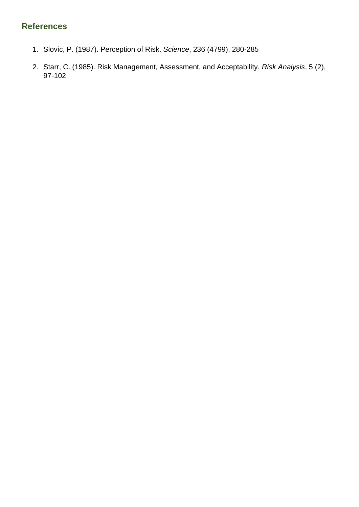## **References**

- 1. Slovic, P. (1987). Perception of Risk. *Science*, 236 (4799), 280-285
- 2. Starr, C. (1985). Risk Management, Assessment, and Acceptability. *Risk Analysis*, 5 (2), 97-102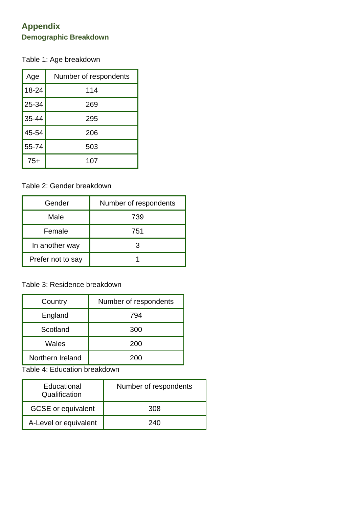### <span id="page-17-0"></span>**Appendix Demographic Breakdown**

Table 1: Age breakdown

| Age       | Number of respondents |
|-----------|-----------------------|
| 18-24     | 114                   |
| 25-34     | 269                   |
| $35 - 44$ | 295                   |
| 45-54     | 206                   |
| 55-74     | 503                   |
| $75+$     | 107                   |

### Table 2: Gender breakdown

| Gender            | Number of respondents |  |
|-------------------|-----------------------|--|
| Male              | 739                   |  |
| Female            | 751                   |  |
| In another way    |                       |  |
| Prefer not to say |                       |  |

### Table 3: Residence breakdown

| Country          | Number of respondents |  |
|------------------|-----------------------|--|
| England          | 794                   |  |
| Scotland         | 300                   |  |
| Wales            | 200                   |  |
| Northern Ireland | 200                   |  |

Table 4: Education breakdown

| Educational<br>Qualification | Number of respondents |  |
|------------------------------|-----------------------|--|
| <b>GCSE</b> or equivalent    | 308                   |  |
| A-Level or equivalent        | 240                   |  |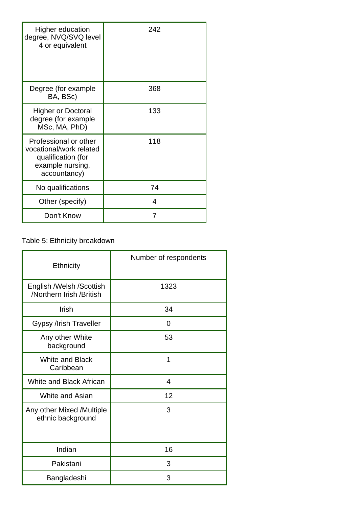| <b>Higher education</b><br>degree, NVQ/SVQ level<br>4 or equivalent                                        | 242 |
|------------------------------------------------------------------------------------------------------------|-----|
| Degree (for example<br>BA, BSc)                                                                            | 368 |
| <b>Higher or Doctoral</b><br>degree (for example<br>MSc, MA, PhD)                                          | 133 |
| Professional or other<br>vocational/work related<br>qualification (for<br>example nursing,<br>accountancy) | 118 |
| No qualifications                                                                                          | 74  |
| Other (specify)                                                                                            | 4   |
| Don't Know                                                                                                 | 7   |

## Table 5: Ethnicity breakdown

| Ethnicity                                            | Number of respondents |  |
|------------------------------------------------------|-----------------------|--|
| English /Welsh /Scottish<br>/Northern Irish /British | 1323                  |  |
| Irish                                                | 34                    |  |
| Gypsy /Irish Traveller                               | 0                     |  |
| Any other White<br>background                        | 53                    |  |
| <b>White and Black</b><br>Caribbean                  | 1                     |  |
| <b>White and Black African</b>                       | $\overline{4}$        |  |
| White and Asian                                      | 12                    |  |
| Any other Mixed /Multiple<br>ethnic background       | 3                     |  |
| Indian                                               | 16                    |  |
| Pakistani                                            | 3                     |  |
| Bangladeshi                                          | 3                     |  |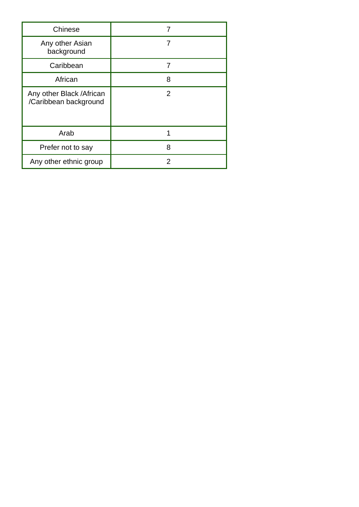| Chinese                                            |   |
|----------------------------------------------------|---|
| Any other Asian<br>background                      |   |
| Caribbean                                          | 7 |
| African                                            | 8 |
| Any other Black / African<br>/Caribbean background | 2 |
| Arab                                               |   |
| Prefer not to say                                  | 8 |
| Any other ethnic group                             | 2 |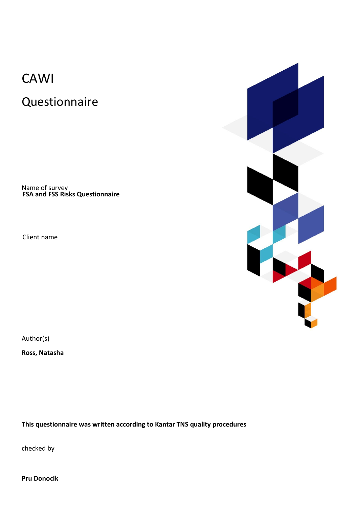## CAWI

Questionnaire

Name of survey **FSA and FSS Risks Questionnaire**

Client name



Author(s)

**Ross, Natasha**

**This questionnaire was written according to Kantar TNS quality procedures**

checked by

**Pru Donocik**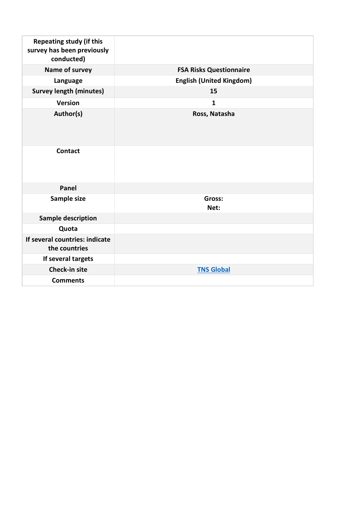| <b>Repeating study (if this</b><br>survey has been previously<br>conducted) |                                 |
|-----------------------------------------------------------------------------|---------------------------------|
| Name of survey                                                              | <b>FSA Risks Questionnaire</b>  |
| Language                                                                    | <b>English (United Kingdom)</b> |
| <b>Survey length (minutes)</b>                                              | 15                              |
| <b>Version</b>                                                              | $\mathbf{1}$                    |
| Author(s)                                                                   | Ross, Natasha                   |
| <b>Contact</b>                                                              |                                 |
| Panel                                                                       |                                 |
| Sample size                                                                 | Gross:<br>Net:                  |
| <b>Sample description</b>                                                   |                                 |
| Quota                                                                       |                                 |
| If several countries: indicate<br>the countries                             |                                 |
| If several targets                                                          |                                 |
| Check-in site                                                               | <b>TNS Global</b>               |
| <b>Comments</b>                                                             |                                 |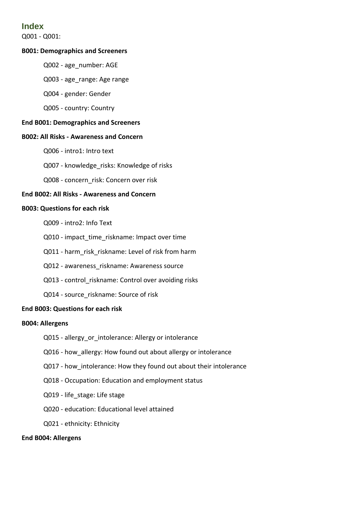### **Index**

Q001 - Q001:

#### **B001: Demographics and Screeners**

- Q002 age\_number: AGE
- Q003 age\_range: Age range
- Q004 gender: Gender
- Q005 country: Country

#### **End B001: Demographics and Screeners**

#### **B002: All Risks - Awareness and Concern**

- Q006 intro1: Intro text
- Q007 knowledge risks: Knowledge of risks
- Q008 concern\_risk: Concern over risk

#### **End B002: All Risks - Awareness and Concern**

#### **B003: Questions for each risk**

- Q009 intro2: Info Text
- Q010 impact\_time\_riskname: Impact over time
- Q011 harm\_risk\_riskname: Level of risk from harm
- Q012 awareness\_riskname: Awareness source
- Q013 control riskname: Control over avoiding risks
- Q014 source riskname: Source of risk

#### **End B003: Questions for each risk**

#### **B004: Allergens**

- Q015 allergy\_or\_intolerance: Allergy or intolerance
- Q016 how\_allergy: How found out about allergy or intolerance
- Q017 how intolerance: How they found out about their intolerance
- Q018 Occupation: Education and employment status
- Q019 life\_stage: Life stage
- Q020 education: Educational level attained
- Q021 ethnicity: Ethnicity

#### **End B004: Allergens**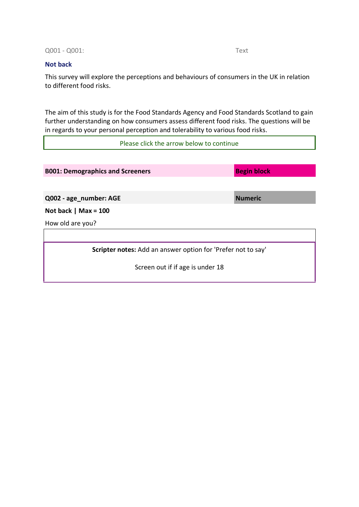Q001 - Q001: Text

#### **Not back**

ı

This survey will explore the perceptions and behaviours of consumers in the UK in relation to different food risks.

The aim of this study is for the Food Standards Agency and Food Standards Scotland to gain further understanding on how consumers assess different food risks. The questions will be in regards to your personal perception and tolerability to various food risks.

Please click the arrow below to continue

| <b>B001: Demographics and Screeners</b>                      | <b>Begin block</b> |  |
|--------------------------------------------------------------|--------------------|--|
|                                                              |                    |  |
| Q002 - age_number: AGE                                       | <b>Numeric</b>     |  |
| Not back   Max = $100$                                       |                    |  |
| How old are you?                                             |                    |  |
|                                                              |                    |  |
| Scripter notes: Add an answer option for 'Prefer not to say' |                    |  |
| Screen out if if age is under 18                             |                    |  |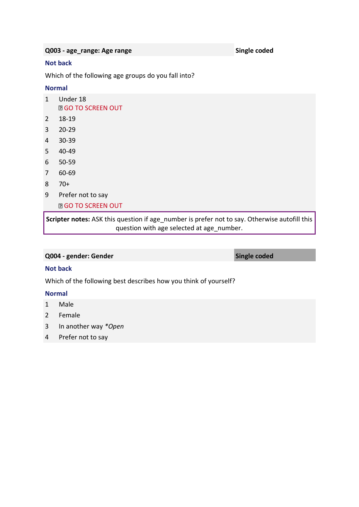**Q003 - age\_range: Age range Single coded**

#### **Not back**

Which of the following age groups do you fall into?

#### **Normal**

|              | Scripter notes: ASK this question if age r<br>augstion with an |
|--------------|----------------------------------------------------------------|
|              | <b>D</b> GO TO SCREEN OUT                                      |
| 9            | Prefer not to say                                              |
| 8            | $70+$                                                          |
| 7            | 60-69                                                          |
| 6            | $50 - 59$                                                      |
| 5            | 40-49                                                          |
| 4            | $30 - 39$                                                      |
| 3            | $20 - 29$                                                      |
| 2            | 18-19                                                          |
| $\mathbf{1}$ | Under 18<br><b>D</b> GO TO SCREEN OUT                          |

number is prefer not to say. Otherwise autofill this question with age selected at age\_number.

#### **Q004 - gender: Gender Single coded**

#### **Not back**

Which of the following best describes how you think of yourself?

#### **Normal**

- 1 Male
- 2 Female
- 3 In another way *\*Open*
- 4 Prefer not to say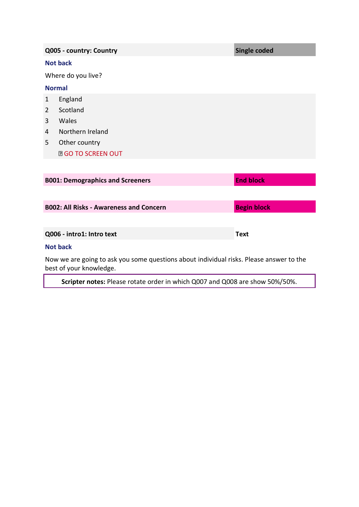|                | Q005 - country: Country                                                             | <b>Single coded</b> |
|----------------|-------------------------------------------------------------------------------------|---------------------|
|                | <b>Not back</b>                                                                     |                     |
|                | Where do you live?                                                                  |                     |
| <b>Normal</b>  |                                                                                     |                     |
| 1              | England                                                                             |                     |
| $\overline{2}$ | Scotland                                                                            |                     |
| 3              | Wales                                                                               |                     |
| $\overline{4}$ | Northern Ireland                                                                    |                     |
| 5              | Other country                                                                       |                     |
|                | <b>DGO TO SCREEN OUT</b>                                                            |                     |
|                |                                                                                     |                     |
|                | <b>B001: Demographics and Screeners</b>                                             | <b>End block</b>    |
|                |                                                                                     |                     |
|                | <b>B002: All Risks - Awareness and Concern</b>                                      | <b>Begin block</b>  |
|                |                                                                                     |                     |
|                | Q006 - intro1: Intro text                                                           | <b>Text</b>         |
|                | <b>Not back</b>                                                                     |                     |
|                | Marco de la calendaria de la consegue de la calendaria de la calendaria de Marco de |                     |

Now we are going to ask you some questions about individual risks. Please answer to the best of your knowledge.

**Scripter notes:** Please rotate order in which Q007 and Q008 are show 50%/50%.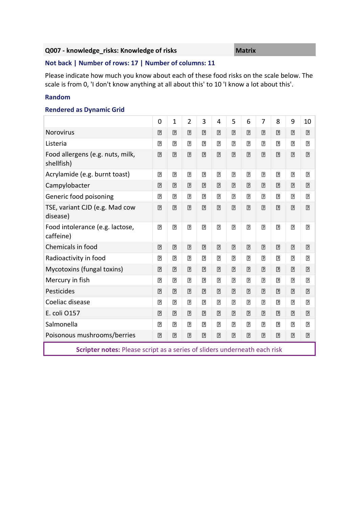#### **Q007 - knowledge\_risks: Knowledge of risks Matrix**

#### **Not back | Number of rows: 17 | Number of columns: 11**

Please indicate how much you know about each of these food risks on the scale below. The scale is from 0, 'I don't know anything at all about this' to 10 'I know a lot about this'.

#### **Random**

#### **Rendered as Dynamic Grid**

|                                                                           | $\mathbf 0$    | $\mathbf{1}$   | $\overline{2}$ | 3              | $\overline{4}$ | 5              | 6              | $\overline{7}$ | 8              | 9              | 10             |
|---------------------------------------------------------------------------|----------------|----------------|----------------|----------------|----------------|----------------|----------------|----------------|----------------|----------------|----------------|
| Norovirus                                                                 | $\overline{?}$ | $\overline{2}$ | $\overline{2}$ | $\overline{2}$ | $\overline{2}$ | $\overline{?}$ | $\overline{2}$ | $\boxed{?}$    | $\boxed{?}$    | $\boxed{2}$    | $\boxed{2}$    |
| Listeria                                                                  | $\boxed{2}$    | $\overline{2}$ | $\boxed{2}$    | $\boxed{2}$    | $\overline{2}$ | $\overline{2}$ | $\overline{2}$ | $\overline{2}$ | $\boxed{7}$    | $\boxed{2}$    | $\overline{2}$ |
| Food allergens (e.g. nuts, milk,<br>shellfish)                            | $\overline{2}$ | $\overline{2}$ | $\overline{2}$ | $\overline{2}$ | $\overline{2}$ | $\overline{2}$ | $\overline{2}$ | $\overline{2}$ | $\overline{2}$ | $\overline{2}$ | $\overline{2}$ |
| Acrylamide (e.g. burnt toast)                                             | $\overline{2}$ | $\overline{?}$ | $\boxed{?}$    | $\boxed{?}$    | $\overline{?}$ | $\overline{?}$ | $\overline{2}$ | $\overline{?}$ | $\boxed{?}$    | $\boxed{?}$    | $\overline{?}$ |
| Campylobacter                                                             | $\overline{2}$ | $\overline{2}$ | $\boxed{?}$    | $\boxed{?}$    | $\overline{2}$ | $\overline{2}$ | $\overline{2}$ | $\overline{?}$ | $\boxed{2}$    | $\boxed{2}$    | $\boxed{2}$    |
| Generic food poisoning                                                    | $\overline{?}$ | $\overline{?}$ | $\overline{?}$ | $\overline{?}$ | $\overline{?}$ | $\overline{?}$ | $\overline{2}$ | $\overline{2}$ | $\overline{2}$ | $\Box$         | $\overline{2}$ |
| TSE, variant CJD (e.g. Mad cow<br>disease)                                | $\boxed{?}$    | $\overline{2}$ | $\overline{2}$ | $\overline{2}$ | $\overline{2}$ | $\overline{2}$ | $\boxed{2}$    | $\overline{2}$ | $\overline{2}$ | $\overline{2}$ | $\boxed{2}$    |
| Food intolerance (e.g. lactose,<br>caffeine)                              | $\overline{?}$ | $\overline{2}$ | $\boxed{?}$    | $\boxed{?}$    | $\overline{2}$ | $\overline{?}$ | $\overline{2}$ | $\overline{2}$ | $\boxed{?}$    | $\overline{?}$ | $\overline{?}$ |
| Chemicals in food                                                         | $\boxed{?}$    | $\overline{?}$ | $\boxed{2}$    | $\boxed{2}$    | $\boxed{?}$    | $\overline{?}$ | $\overline{2}$ | $\boxed{2}$    | $\boxed{2}$    | $\boxed{2}$    | $\boxed{2}$    |
| Radioactivity in food                                                     | $\Box$         | $\overline{2}$ | $\boxed{2}$    | $\Box$         | $\overline{2}$ | $\overline{2}$ | $\overline{2}$ | $\overline{2}$ | $\overline{2}$ | $\boxed{2}$    | $\overline{2}$ |
| Mycotoxins (fungal toxins)                                                | $\boxed{?}$    | $\overline{2}$ | $\boxed{?}$    | $\boxed{?}$    | $\overline{2}$ | $\boxed{?}$    | $\overline{2}$ | $\boxed{?}$    | $\boxed{?}$    | $\boxed{2}$    | $\overline{2}$ |
| Mercury in fish                                                           | $\overline{2}$ | $\overline{2}$ | $\overline{2}$ | $\boxed{?}$    | $\overline{2}$ | $\overline{2}$ | $\overline{2}$ | $\overline{2}$ | $\overline{2}$ | $\overline{2}$ | $\overline{2}$ |
| Pesticides                                                                | $\boxed{2}$    | $\overline{2}$ | $\overline{2}$ | $\boxed{?}$    | $\overline{?}$ | $\overline{2}$ | $\overline{2}$ | $\overline{?}$ | $\boxed{?}$    | $\overline{2}$ | $\boxed{2}$    |
| Coeliac disease                                                           | $\boxed{2}$    | $\boxed{2}$    | $\overline{2}$ | $\Box$         | $\overline{2}$ | $\overline{2}$ | $\overline{2}$ | $\overline{2}$ | $\overline{2}$ | $\overline{2}$ | $\overline{2}$ |
| E. coli 0157                                                              | $\overline{?}$ | $\overline{?}$ | $\boxed{2}$    | $\boxed{2}$    | $\overline{?}$ | $\overline{?}$ | $\overline{2}$ | $\overline{?}$ | $\boxed{?}$    | $\overline{?}$ | $\overline{2}$ |
| Salmonella                                                                | $\overline{2}$ | $\overline{2}$ | $\boxed{2}$    | $\Box$         | $\overline{2}$ | $\overline{2}$ | $\overline{2}$ | $\overline{2}$ | $\Box$         | $\boxed{2}$    | $\overline{2}$ |
| Poisonous mushrooms/berries                                               | $\overline{?}$ | $\overline{?}$ | $\overline{?}$ | $\boxed{2}$    | $\overline{?}$ | $\overline{?}$ | $\overline{2}$ | $\overline{2}$ | $\overline{2}$ | $\overline{2}$ | $\boxed{2}$    |
| Scripter notes: Please script as a series of sliders underneath each risk |                |                |                |                |                |                |                |                |                |                |                |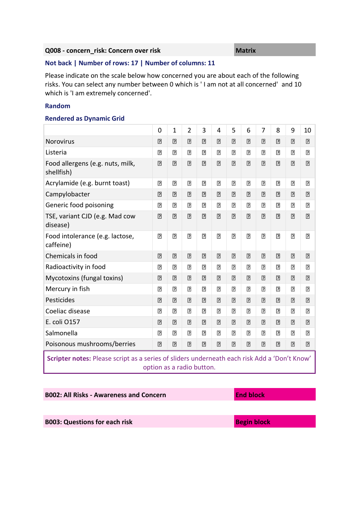#### **Q008 - concern\_risk: Concern over risk Matrix Matrix**

#### **Not back | Number of rows: 17 | Number of columns: 11**

Please indicate on the scale below how concerned you are about each of the following risks. You can select any number between 0 which is ' I am not at all concerned' and 10 which is 'I am extremely concerned'.

#### **Random**

#### **Rendered as Dynamic Grid**

|                                                                                                                           | 0              | $\mathbf 1$    | $\overline{2}$ | 3              | 4              | 5              | 6              | 7              | 8                                                                                                                                                                                                                                                                                                                                                                                                                                                                                                                                                                                                                      | 9              | 10             |
|---------------------------------------------------------------------------------------------------------------------------|----------------|----------------|----------------|----------------|----------------|----------------|----------------|----------------|------------------------------------------------------------------------------------------------------------------------------------------------------------------------------------------------------------------------------------------------------------------------------------------------------------------------------------------------------------------------------------------------------------------------------------------------------------------------------------------------------------------------------------------------------------------------------------------------------------------------|----------------|----------------|
| <b>Norovirus</b>                                                                                                          | $\boxed{?}$    | $\boxed{?}$    | $\overline{?}$ | $\boxed{?}$    | $\boxed{?}$    | $\boxed{?}$    | $\boxed{?}$    | $\overline{2}$ | $\boxed{?}$                                                                                                                                                                                                                                                                                                                                                                                                                                                                                                                                                                                                            | $\boxed{2}$    | $\overline{?}$ |
| Listeria                                                                                                                  | $\overline{2}$ | $\overline{2}$ | $\overline{2}$ | $\boxed{2}$    | $\boxed{2}$    | $\overline{2}$ | $\overline{2}$ | $\overline{2}$ | $\overline{2}$                                                                                                                                                                                                                                                                                                                                                                                                                                                                                                                                                                                                         | $\boxed{7}$    | $\overline{2}$ |
| Food allergens (e.g. nuts, milk,<br>shellfish)                                                                            | $\overline{2}$ | $\boxed{?}$    | $\overline{2}$ | $\boxed{2}$    | $\overline{2}$ | $\overline{2}$ | $\overline{2}$ | $\boxed{2}$    | $[2] \centering \includegraphics[width=0.47\textwidth]{images/TrDiS-Architecture.png} \caption{The 3D (black) model for a different region of the left and right. The left and right is the same as in \cite{FLM12019}. The right is the same as in \cite{FLM12019}. The right is the same as in \cite{FLM12019}. The right is the same as in \cite{FLM12019}. The right is the same as in \cite{FLM12019}. The right is the same as in \cite{FLM12019}. The right is the same as in \cite{FLM12019}. The right is the same as in \cite{FLM12019}. The right is the same as in \cite{FLM12019}. The right is the same$ | $\boxed{2}$    | $\overline{2}$ |
| Acrylamide (e.g. burnt toast)                                                                                             | $\overline{2}$ | $\boxed{2}$    | $\overline{2}$ | $\boxed{2}$    | $\boxed{2}$    | $\boxed{2}$    | $\overline{2}$ | $\boxed{2}$    | $\overline{2}$                                                                                                                                                                                                                                                                                                                                                                                                                                                                                                                                                                                                         | $\overline{2}$ | $\overline{2}$ |
| Campylobacter                                                                                                             | $\boxed{2}$    | $\boxed{?}$    | $\overline{?}$ | $\boxed{2}$    | $\overline{?}$ | $\overline{?}$ | $\overline{?}$ | $\boxed{2}$    | $\overline{2}$                                                                                                                                                                                                                                                                                                                                                                                                                                                                                                                                                                                                         | $\overline{2}$ | $\overline{2}$ |
| Generic food poisoning                                                                                                    | $\overline{2}$ | $\boxed{2}$    | $\overline{2}$ | $\boxed{2}$    | $\overline{?}$ | $\overline{?}$ | $\overline{2}$ | $\boxed{2}$    | $\overline{2}$                                                                                                                                                                                                                                                                                                                                                                                                                                                                                                                                                                                                         | $\boxed{2}$    | $\overline{2}$ |
| TSE, variant CJD (e.g. Mad cow<br>disease)                                                                                | $\overline{2}$ | $\boxed{?}$    | $\overline{2}$ | $\boxed{?}$    | $\overline{2}$ | $\overline{2}$ | $\overline{2}$ | $\overline{2}$ | $\overline{2}$                                                                                                                                                                                                                                                                                                                                                                                                                                                                                                                                                                                                         | $\boxed{2}$    | $\boxed{2}$    |
| Food intolerance (e.g. lactose,<br>caffeine)                                                                              | $\overline{2}$ | $\boxed{2}$    | $\overline{2}$ | $\boxed{2}$    | $\boxed{2}$    | $\overline{2}$ | $\overline{2}$ | $\boxed{2}$    | $\overline{2}$                                                                                                                                                                                                                                                                                                                                                                                                                                                                                                                                                                                                         | $\boxed{2}$    | $\overline{2}$ |
| Chemicals in food                                                                                                         | ⊡              | $\boxed{?}$    | $\boxed{2}$    | $\boxed{2}$    | $\boxed{?}$    | ⊡              | ⊡              | ⊡              | ⊡                                                                                                                                                                                                                                                                                                                                                                                                                                                                                                                                                                                                                      | ⊡              | ⊡              |
| Radioactivity in food                                                                                                     | $\overline{2}$ | $\boxed{?}$    | $\overline{?}$ | $\boxed{?}$    | $\overline{?}$ | $\overline{?}$ | $\overline{?}$ | $\overline{2}$ | $\overline{2}$                                                                                                                                                                                                                                                                                                                                                                                                                                                                                                                                                                                                         | $\overline{2}$ | $\overline{2}$ |
| Mycotoxins (fungal toxins)                                                                                                | $\overline{?}$ | $\boxed{?}$    | $\boxed{2}$    | $\boxed{?}$    | $\boxed{?}$    | $\overline{?}$ | $\overline{?}$ | $\boxed{?}$    | $\overline{?}$                                                                                                                                                                                                                                                                                                                                                                                                                                                                                                                                                                                                         | $\boxed{?}$    | $\overline{?}$ |
| Mercury in fish                                                                                                           | $\overline{2}$ | $\boxed{2}$    | $\overline{2}$ | $\boxed{2}$    | $\overline{2}$ | $\overline{2}$ | $\overline{2}$ | $\overline{2}$ | $\overline{2}$                                                                                                                                                                                                                                                                                                                                                                                                                                                                                                                                                                                                         | $\overline{2}$ | $\overline{2}$ |
| Pesticides                                                                                                                | $\overline{2}$ | $\boxed{?}$    | $\overline{?}$ | $\boxed{2}$    | $\overline{?}$ | $\overline{?}$ | $\overline{?}$ | $\overline{2}$ | $\overline{2}$                                                                                                                                                                                                                                                                                                                                                                                                                                                                                                                                                                                                         | $\boxed{2}$    | $\overline{2}$ |
| Coeliac disease                                                                                                           | $\overline{2}$ | $\boxed{2}$    | $\Box$         | $\Box$         | $\overline{2}$ | $\overline{2}$ | $\overline{2}$ | $\boxed{2}$    | $\overline{2}$                                                                                                                                                                                                                                                                                                                                                                                                                                                                                                                                                                                                         | $\boxed{2}$    | $\overline{2}$ |
| E. coli O157                                                                                                              | $\overline{2}$ | $\boxed{?}$    | $\overline{2}$ | $\boxed{2}$    | $\boxed{?}$    | $\boxed{?}$    | $\overline{2}$ | $\boxed{?}$    | $\overline{2}$                                                                                                                                                                                                                                                                                                                                                                                                                                                                                                                                                                                                         | $\boxed{?}$    | $\overline{2}$ |
| Salmonella                                                                                                                | $\boxed{2}$    | $\overline{?}$ | $\overline{?}$ | $\overline{?}$ | $\overline{2}$ | $\overline{?}$ | $\overline{2}$ | $\overline{2}$ | $\overline{2}$                                                                                                                                                                                                                                                                                                                                                                                                                                                                                                                                                                                                         | $\overline{2}$ | $\overline{2}$ |
| Poisonous mushrooms/berries                                                                                               | $\overline{2}$ | $\overline{2}$ | $\overline{2}$ | $\boxed{2}$    | $\overline{2}$ | $\overline{2}$ | $\overline{2}$ | $\boxed{?}$    | $\overline{2}$                                                                                                                                                                                                                                                                                                                                                                                                                                                                                                                                                                                                         | $\boxed{?}$    | $\overline{2}$ |
| Scripter notes: Please script as a series of sliders underneath each risk Add a 'Don't Know'<br>option as a radio button. |                |                |                |                |                |                |                |                |                                                                                                                                                                                                                                                                                                                                                                                                                                                                                                                                                                                                                        |                |                |

**B002: All Risks - Awareness and Concern End block** 

**B003: Questions for each risk BDD Begin block**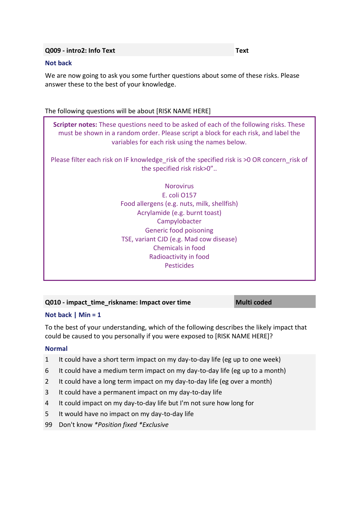#### **Q009 - intro2: Info Text Text**

#### **Not back**

We are now going to ask you some further questions about some of these risks. Please answer these to the best of your knowledge.

#### The following questions will be about [RISK NAME HERE]

**Scripter notes:** These questions need to be asked of each of the following risks. These must be shown in a random order. Please script a block for each risk, and label the variables for each risk using the names below.

Please filter each risk on IF knowledge risk of the specified risk is >0 OR concern risk of the specified risk risk>0"..

> **Norovirus** E. coli O157 Food allergens (e.g. nuts, milk, shellfish) Acrylamide (e.g. burnt toast) Campylobacter Generic food poisoning TSE, variant CJD (e.g. Mad cow disease) Chemicals in food Radioactivity in food Pesticides

#### **Q010 - impact\_time\_riskname: Impact over time** Multi coded

#### **Not back | Min = 1**

To the best of your understanding, which of the following describes the likely impact that could be caused to you personally if you were exposed to [RISK NAME HERE]?

#### **Normal**

- 1 It could have a short term impact on my day-to-day life (eg up to one week)
- 6 It could have a medium term impact on my day-to-day life (eg up to a month)
- 2 It could have a long term impact on my day-to-day life (eg over a month)
- 3 It could have a permanent impact on my day-to-day life
- 4 It could impact on my day-to-day life but I'm not sure how long for
- 5 It would have no impact on my day-to-day life
- 99 Don't know *\*Position fixed \*Exclusive*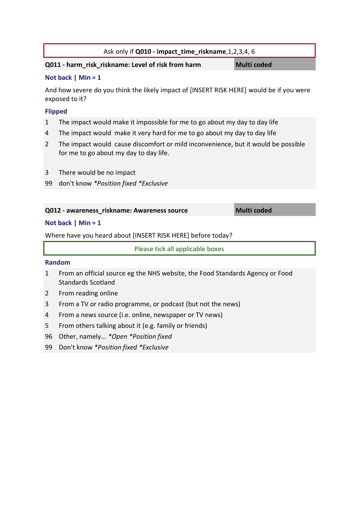| Ask only if Q010 - impact_time_riskname, 1, 2, 3, 4, 6 |
|--------------------------------------------------------|
|--------------------------------------------------------|

#### **Q011 - harm\_risk\_riskname: Level of risk from harm Multi coded**

#### **Not back | Min = 1**

And how severe do you think the likely impact of [INSERT RISK HERE] would be if you were exposed to it?

#### **Flipped**

- 1 The impact would make it impossible for me to go about my day to day life
- 4 The impact would make it very hard for me to go about my day to day life
- 2 The impact would cause discomfort or mild inconvenience, but it would be possible for me to go about my day to day life.
- 3 There would be no impact
- 99 don't know *\*Position fixed \*Exclusive*

#### **Q012 - awareness\_riskname: Awareness source Multi coded**

#### **Not back | Min = 1**

Where have you heard about [INSERT RISK HERE] before today?

Please tick all applicable boxes

#### **Random**

- 1 From an official source eg the NHS website, the Food Standards Agency or Food Standards Scotland
- 2 From reading online
- 3 From a TV or radio programme, or podcast (but not the news)
- 4 From a news source (i.e. online, newspaper or TV news)
- 5 From others talking about it (e.g. family or friends)
- 96 Other, namely... *\*Open \*Position fixed*
- 99 Don't know *\*Position fixed \*Exclusive*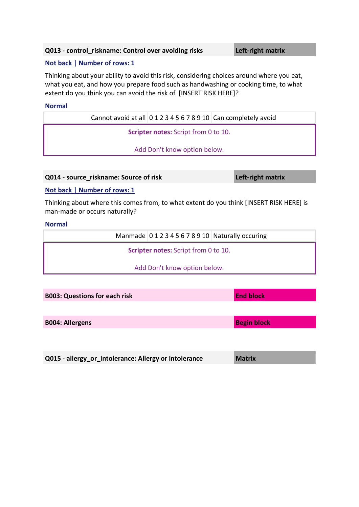#### **Q013 - control\_riskname: Control over avoiding risks Left-right matrix**

#### **Not back | Number of rows: 1**

Thinking about your ability to avoid this risk, considering choices around where you eat, what you eat, and how you prepare food such as handwashing or cooking time, to what extent do you think you can avoid the risk of [INSERT RISK HERE]?

#### **Normal**

Cannot avoid at all 0 1 2 3 4 5 6 7 8 9 10 Can completely avoid

**Scripter notes:** Script from 0 to 10.

Add Don't know option below.

**Q014 - source\_riskname: Source of risk Left-right matrix**

#### **Not back | Number of rows: 1**

Thinking about where this comes from, to what extent do you think [INSERT RISK HERE] is man-made or occurs naturally?

#### **Normal**

| Manmade 012345678910 Naturally occuring     |
|---------------------------------------------|
| <b>Scripter notes:</b> Script from 0 to 10. |
| Add Don't know option below.                |
|                                             |

| <b>B003: Questions for each risk</b>                  | <b>End block</b>   |
|-------------------------------------------------------|--------------------|
|                                                       |                    |
| <b>B004: Allergens</b>                                | <b>Begin block</b> |
|                                                       |                    |
|                                                       |                    |
| Q015 - allergy_or_intolerance: Allergy or intolerance | <b>Matrix</b>      |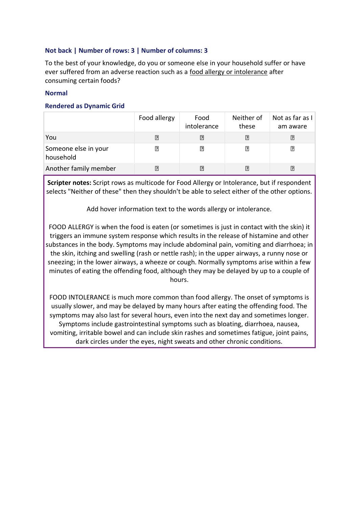#### **Not back | Number of rows: 3 | Number of columns: 3**

To the best of your knowledge, do you or someone else in your household suffer or have ever suffered from an adverse reaction such as a food allergy or intolerance after consuming certain foods?

#### **Normal**

#### **Rendered as Dynamic Grid**

|                                   | Food allergy | Food<br>intolerance | Neither of<br>these | Not as far as I<br>am aware |
|-----------------------------------|--------------|---------------------|---------------------|-----------------------------|
| You                               | $\mathbb{R}$ | P.                  | $\vert$ ?           | ₽                           |
| Someone else in your<br>household | ₽            | 卪                   | ₽                   | ₽                           |
| Another family member             | ₽            | 7                   | ₽                   | ิ้⊡ิ                        |

**Scripter notes:** Script rows as multicode for Food Allergy or Intolerance, but if respondent selects "Neither of these" then they shouldn't be able to select either of the other options.

Add hover information text to the words allergy or intolerance.

FOOD ALLERGY is when the food is eaten (or sometimes is just in contact with the skin) it triggers an immune system response which results in the release of histamine and other substances in the body. Symptoms may include abdominal pain, vomiting and diarrhoea; in the skin, itching and swelling (rash or nettle rash); in the upper airways, a runny nose or sneezing; in the lower airways, a wheeze or cough. Normally symptoms arise within a few minutes of eating the offending food, although they may be delayed by up to a couple of hours.

FOOD INTOLERANCE is much more common than food allergy. The onset of symptoms is usually slower, and may be delayed by many hours after eating the offending food. The symptoms may also last for several hours, even into the next day and sometimes longer. Symptoms include gastrointestinal symptoms such as bloating, diarrhoea, nausea, vomiting, irritable bowel and can include skin rashes and sometimes fatigue, joint pains, dark circles under the eyes, night sweats and other chronic conditions.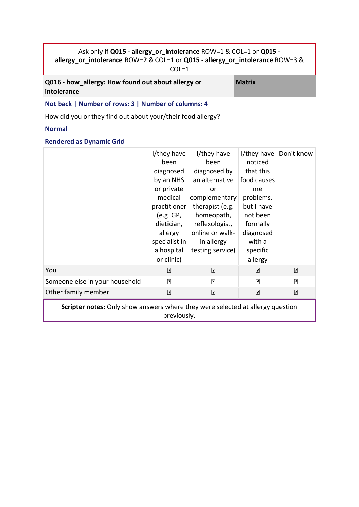### Ask only if **Q015 - allergy\_or\_intolerance** ROW=1 & COL=1 or **Q015 allergy\_or\_intolerance** ROW=2 & COL=1 or **Q015 - allergy\_or\_intolerance** ROW=3 &

COL=1

**Q016 - how\_allergy: How found out about allergy or intolerance**

**Matrix**

#### **Not back | Number of rows: 3 | Number of columns: 4**

How did you or they find out about your/their food allergy?

#### **Normal**

#### **Rendered as Dynamic Grid**

|                                                                                       | I/they have<br>been<br>diagnosed<br>by an NHS<br>or private<br>medical<br>practitioner<br>(e.g. GP,<br>dietician,<br>allergy<br>specialist in<br>a hospital<br>or clinic) | I/they have<br>been<br>diagnosed by<br>an alternative<br>or<br>complementary<br>therapist (e.g.<br>homeopath,<br>reflexologist,<br>online or walk-<br>in allergy<br>testing service) | I/they have<br>noticed<br>that this<br>food causes<br>me<br>problems,<br>but I have<br>not been<br>formally<br>diagnosed<br>with a<br>specific<br>allergy | Don't know  |  |  |  |  |
|---------------------------------------------------------------------------------------|---------------------------------------------------------------------------------------------------------------------------------------------------------------------------|--------------------------------------------------------------------------------------------------------------------------------------------------------------------------------------|-----------------------------------------------------------------------------------------------------------------------------------------------------------|-------------|--|--|--|--|
| You                                                                                   | ⊡                                                                                                                                                                         | 卪                                                                                                                                                                                    | 卪                                                                                                                                                         | ⊡           |  |  |  |  |
| Someone else in your household                                                        | $\boxed{2}$                                                                                                                                                               | $\overline{2}$                                                                                                                                                                       | $\overline{2}$                                                                                                                                            | $\boxed{2}$ |  |  |  |  |
| Other family member                                                                   | $\overline{?}$                                                                                                                                                            | $\overline{?}$                                                                                                                                                                       | $\overline{?}$                                                                                                                                            | $\boxed{?}$ |  |  |  |  |
| <b>Scripter notes:</b> Only show answers where they were selected at allergy question |                                                                                                                                                                           |                                                                                                                                                                                      |                                                                                                                                                           |             |  |  |  |  |

previously.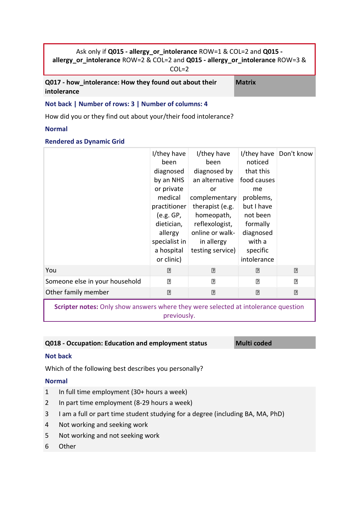#### Ask only if **Q015 - allergy\_or\_intolerance** ROW=1 & COL=2 and **Q015 allergy\_or\_intolerance** ROW=2 & COL=2 and **Q015 - allergy\_or\_intolerance** ROW=3 & COL=2

**Q017 - how\_intolerance: How they found out about their intolerance**

**Matrix**

#### **Not back | Number of rows: 3 | Number of columns: 4**

How did you or they find out about your/their food intolerance?

#### **Normal**

#### **Rendered as Dynamic Grid**

|                                | I/they have<br>been<br>diagnosed<br>by an NHS<br>or private<br>medical<br>practitioner<br>(e.g. GP,<br>dietician,<br>allergy<br>specialist in<br>a hospital<br>or clinic) | I/they have<br>been<br>diagnosed by<br>an alternative<br>or<br>complementary<br>therapist (e.g.<br>homeopath,<br>reflexologist,<br>online or walk-<br>in allergy<br>testing service) | I/they have<br>noticed<br>that this<br>food causes<br>me<br>problems,<br>but I have<br>not been<br>formally<br>diagnosed<br>with a<br>specific<br>intolerance | Don't know     |
|--------------------------------|---------------------------------------------------------------------------------------------------------------------------------------------------------------------------|--------------------------------------------------------------------------------------------------------------------------------------------------------------------------------------|---------------------------------------------------------------------------------------------------------------------------------------------------------------|----------------|
| You                            | ⊡                                                                                                                                                                         | ⊡                                                                                                                                                                                    | $\boxed{?}$                                                                                                                                                   | ⊡              |
| Someone else in your household | $\overline{2}$                                                                                                                                                            | $\overline{2}$                                                                                                                                                                       | $\overline{2}$                                                                                                                                                | $\Box$         |
| Other family member            | $\overline{?}$                                                                                                                                                            | $\overline{2}$                                                                                                                                                                       | $\boxed{2}$                                                                                                                                                   | $\overline{?}$ |
|                                |                                                                                                                                                                           |                                                                                                                                                                                      |                                                                                                                                                               |                |

**Scripter notes:** Only show answers where they were selected at intolerance question previously.

#### **Q018 - Occupation: Education and employment status Multi coded**

#### **Not back**

Which of the following best describes you personally?

#### **Normal**

- 1 In full time employment (30+ hours a week)
- 2 In part time employment (8-29 hours a week)
- 3 I am a full or part time student studying for a degree (including BA, MA, PhD)
- 4 Not working and seeking work
- 5 Not working and not seeking work
- 6 Other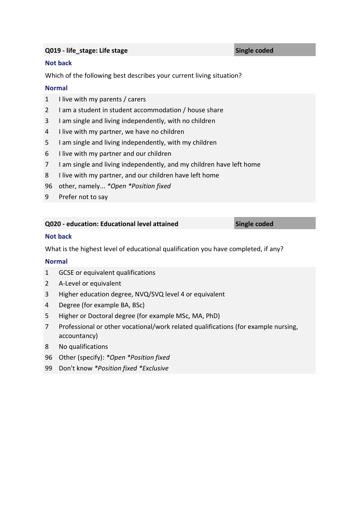#### **Q019 - life\_stage: Life stage Single coded**

#### **Not back**

Which of the following best describes your current living situation?

#### **Normal**

- I live with my parents / carers
- I am a student in student accommodation / house share
- I am single and living independently, with no children
- I live with my partner, we have no children
- I am single and living independently, with my children
- I live with my partner and our children
- I am single and living independently, and my children have left home
- I live with my partner, and our children have left home
- other, namely... *\*Open \*Position fixed*
- Prefer not to say

#### **Q020 - education: Educational level attained Single coded**

#### **Not back**

What is the highest level of educational qualification you have completed, if any?

#### **Normal**

- GCSE or equivalent qualifications
- A-Level or equivalent
- Higher education degree, NVQ/SVQ level 4 or equivalent
- Degree (for example BA, BSc)
- Higher or Doctoral degree (for example MSc, MA, PhD)
- Professional or other vocational/work related qualifications (for example nursing, accountancy)
- No qualifications
- Other (specify): *\*Open \*Position fixed*
- Don't know *\*Position fixed \*Exclusive*